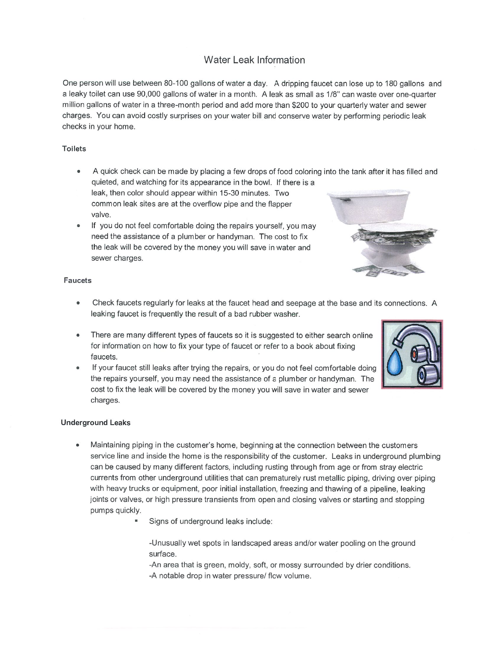## Water Leak Information

One person will use between 80-100 gallons of water <sup>a</sup> day. A dripping faucet can lose up to 180 gallons and <sup>a</sup> leaky toilet can use 90,000 gallons of water in <sup>a</sup> month. A leak as small as 1/8' can waste over one-quarter million gallons of water in <sup>a</sup> three-month period and add more than \$200 to your quarterly water and sewer charges. You can avoid costly surprises on your water bill and conserve water by performing periodic leak checks in your home.

## Toilets

- A quick check can be made by placing <sup>a</sup> few drops of food coloring into the tank after it has filled and quieted, and watching for its appearance in the bowl. If there is <sup>a</sup> leak, then color should appear within 15-30 minutes. Two common leak sites are at the overflow pipe and the flapper
- If you do not feel comfortable doing the repairs yourself, you may need the assistance of <sup>a</sup> plumber or handyman. The cost to fix the leak will be covered by the money you will save in water and sewer charges.



## Faucets

valve.

- Check faucets regularly for leaks at the faucet head and seepage at the base and its connections. A leaking faucet is frequently the result of <sup>a</sup> bad rubber washer.
- There are many different types of faucets so it is suggested to either search online for information on how to fix your type of faucet or refer to <sup>a</sup> book about fixing faucets.
- If your faucet still leaks after trying the repairs, or you do not feel comfortable doing the repairs yourself, you may need the assistance of <sup>a</sup> plumber or handyman. The cost to fix the leak will be covered by the money you will save in water and sewer charges.

## Underground Leaks

- Maintaining piping in the customer's home, beginning at the connection between the customers service line and inside the home is the responsibility of the customer. Leaks in underground plumbing can be caused by many different factors, including rusting through from age or from stray electric currents from other underground utilities that can prematurely rust metallic piping, driving over piping with heavy trucks or equipment, poor initial installation, freezing and thawing of <sup>a</sup> pipeline, leaking joints or valves, or high pressure transients from open and closing valves or starting and stopping pumps quickly.
	- Signs of underground leaks include:

-Unusually wet spots in landscaped areas and/or water pooling on the ground surface.

-An area that is green, moldy, soft, or mossy surrounded by drier conditions. -A notable drop in water pressure/ flow volume.